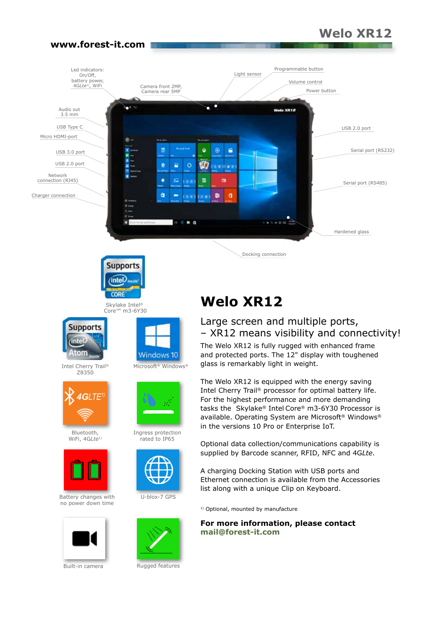## **Welo XR12**

#### Programmable button Led indicators: On/Off, Light sensorbattery power, 4G*Lte1)*, WiFi Volume control Camera front 2MP, Camera rear 5MP Power button n Audio out **Made SWEP** 3.5 mm USB Type C USB 2.0 port Micro HDMI-port ٥ Ħ ۵ E Serial port (RS232) USB 3.0 port USB 2.0 port  $\bullet$ Ŵ  $\circ$ E Network ۰  $\overline{a}$ connection (RJ45) g. m Serial port (RS485) ò Charger connection m  $\mathbf{a}$ -**DOM:** . . Hardened glass Docking connection



**www.forest-it.com**

Core™ m3-6Y30



Intel Cherry Trail® Z8350



Bluetooth, WiFi, 4G*Lte1)*



Battery changes with U-blox-7 GPS no power down time



Built-in camera



Microsoft® Windows®



Ingress protection rated to IP65





Rugged features

# **Welo XR12**

## Large screen and multiple ports, – XR12 means visibility and connectivity!

The Welo XR12 is fully rugged with enhanced frame and protected ports. The 12" display with toughened glass is remarkably light in weight.

The Welo XR12 is equipped with the energy saving Intel Cherry Trail® processor for optimal battery life. For the highest performance and more demanding tasks the Skylake® Intel Core® m3-6Y30 Processor is available. Operating System are Microsoft® Windows® in the versions 10 Pro or Enterprise IoT.

Optional data collection/communications capability is supplied by Barcode scanner, RFID, NFC and 4G*Lte*.

A charging Docking Station with USB ports and Ethernet connection is available from the Accessories list along with a unique Clip on Keyboard.

<sup>1)</sup> Optional, mounted by manufacture

**For more information, please contact mail@forest-it.com**